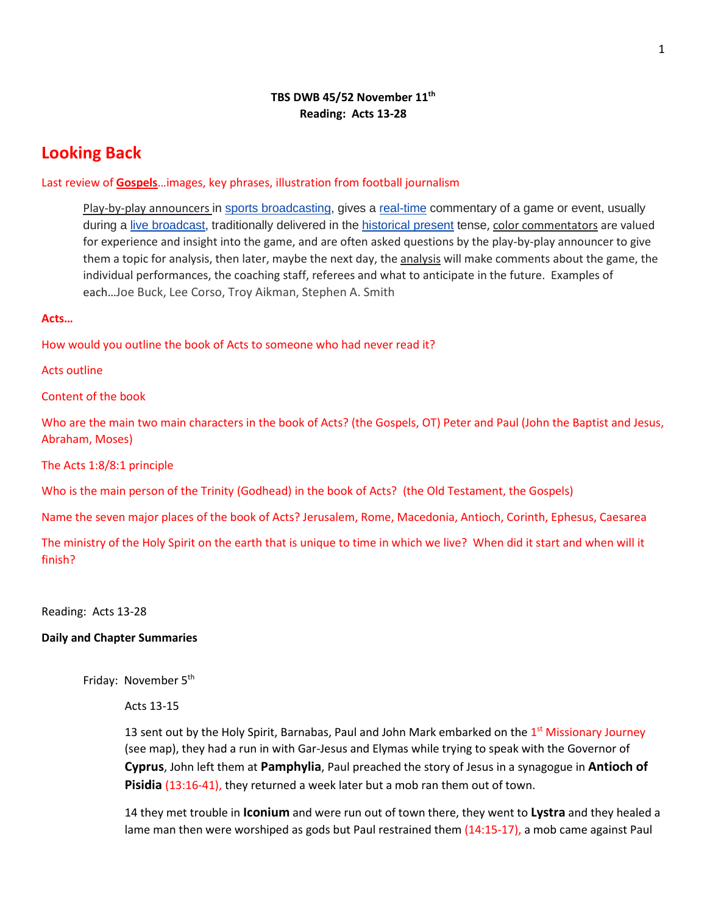## **TBS DWB 45/52 November 11th Reading: Acts 13-28**

# **Looking Back**

### Last review of **Gospels**…images, key phrases, illustration from football journalism

Play-by-play announcers in [sports broadcasting,](https://en.wikipedia.org/wiki/Broadcasting_of_sports_events) gives a [real-time](https://en.wikipedia.org/wiki/Real_time_(media)) commentary of a game or event, usually during a [live broadcast,](https://en.wikipedia.org/wiki/Live_television) traditionally delivered in the [historical present](https://en.wikipedia.org/wiki/Historical_present) tense, color commentators are valued for experience and insight into the game, and are often asked questions by the play-by-play announcer to give them a topic for analysis, then later, maybe the next day, the analysis will make comments about the game, the individual performances, the coaching staff, referees and what to anticipate in the future. Examples of each…Joe Buck, Lee Corso, Troy Aikman, Stephen A. Smith

#### **Acts…**

How would you outline the book of Acts to someone who had never read it?

Acts outline

Content of the book

Who are the main two main characters in the book of Acts? (the Gospels, OT) Peter and Paul (John the Baptist and Jesus, Abraham, Moses)

The Acts 1:8/8:1 principle

Who is the main person of the Trinity (Godhead) in the book of Acts? (the Old Testament, the Gospels)

Name the seven major places of the book of Acts? Jerusalem, Rome, Macedonia, Antioch, Corinth, Ephesus, Caesarea

The ministry of the Holy Spirit on the earth that is unique to time in which we live? When did it start and when will it finish?

Reading: Acts 13-28

#### **Daily and Chapter Summaries**

Friday: November 5<sup>th</sup>

Acts 13-15

13 sent out by the Holy Spirit, Barnabas, Paul and John Mark embarked on the  $1<sup>st</sup>$  Missionary Journey (see map), they had a run in with Gar-Jesus and Elymas while trying to speak with the Governor of **Cyprus**, John left them at **Pamphylia**, Paul preached the story of Jesus in a synagogue in **Antioch of Pisidia** (13:16-41), they returned a week later but a mob ran them out of town.

14 they met trouble in **Iconium** and were run out of town there, they went to **Lystra** and they healed a lame man then were worshiped as gods but Paul restrained them (14:15-17), a mob came against Paul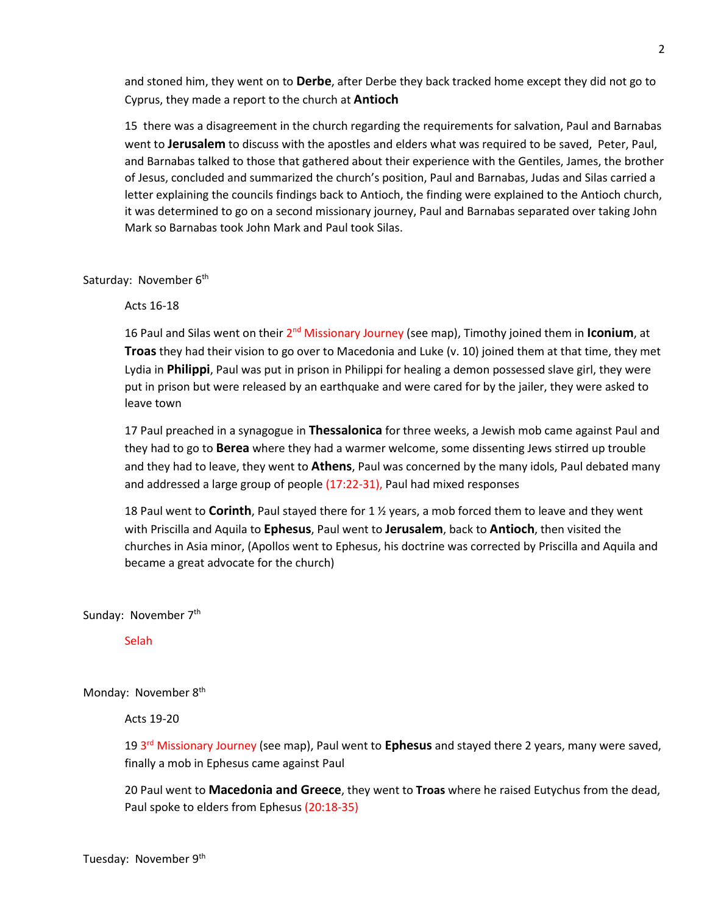and stoned him, they went on to **Derbe**, after Derbe they back tracked home except they did not go to Cyprus, they made a report to the church at **Antioch**

15 there was a disagreement in the church regarding the requirements for salvation, Paul and Barnabas went to **Jerusalem** to discuss with the apostles and elders what was required to be saved, Peter, Paul, and Barnabas talked to those that gathered about their experience with the Gentiles, James, the brother of Jesus, concluded and summarized the church's position, Paul and Barnabas, Judas and Silas carried a letter explaining the councils findings back to Antioch, the finding were explained to the Antioch church, it was determined to go on a second missionary journey, Paul and Barnabas separated over taking John Mark so Barnabas took John Mark and Paul took Silas.

#### Saturday: November 6<sup>th</sup>

Acts 16-18

16 Paul and Silas went on their 2nd Missionary Journey (see map), Timothy joined them in **Iconium**, at **Troas** they had their vision to go over to Macedonia and Luke (v. 10) joined them at that time, they met Lydia in **Philippi**, Paul was put in prison in Philippi for healing a demon possessed slave girl, they were put in prison but were released by an earthquake and were cared for by the jailer, they were asked to leave town

17 Paul preached in a synagogue in **Thessalonica** for three weeks, a Jewish mob came against Paul and they had to go to **Berea** where they had a warmer welcome, some dissenting Jews stirred up trouble and they had to leave, they went to **Athens**, Paul was concerned by the many idols, Paul debated many and addressed a large group of people (17:22-31), Paul had mixed responses

18 Paul went to **Corinth**, Paul stayed there for 1 ½ years, a mob forced them to leave and they went with Priscilla and Aquila to **Ephesus**, Paul went to **Jerusalem**, back to **Antioch**, then visited the churches in Asia minor, (Apollos went to Ephesus, his doctrine was corrected by Priscilla and Aquila and became a great advocate for the church)

Sunday: November 7<sup>th</sup>

Selah

Monday: November 8<sup>th</sup>

Acts 19-20

19 3rd Missionary Journey (see map), Paul went to **Ephesus** and stayed there 2 years, many were saved, finally a mob in Ephesus came against Paul

20 Paul went to **Macedonia and Greece**, they went to **Troas** where he raised Eutychus from the dead, Paul spoke to elders from Ephesus (20:18-35)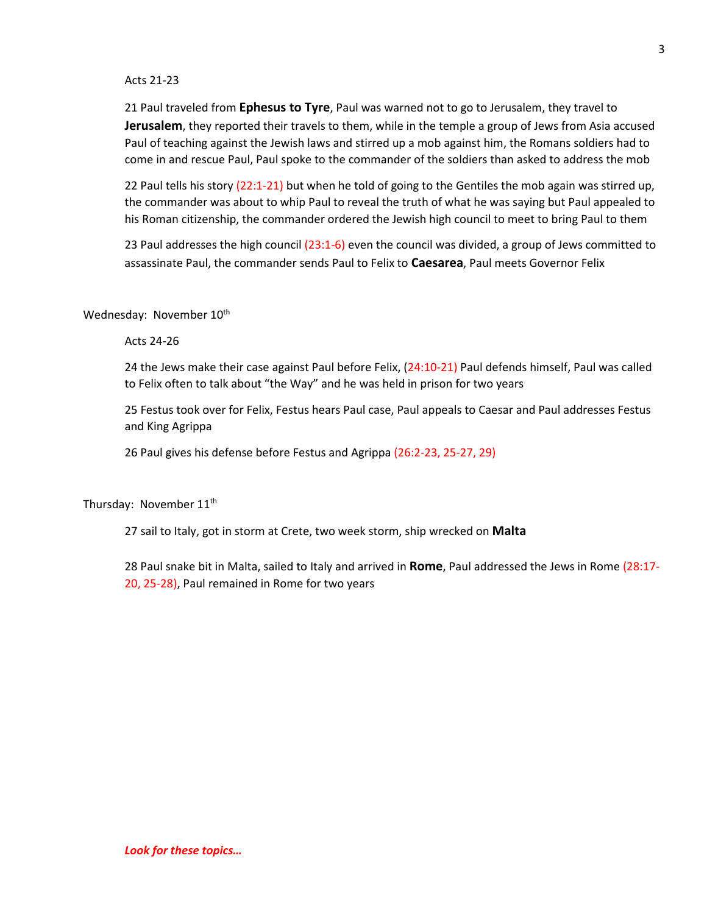#### Acts 21-23

21 Paul traveled from **Ephesus to Tyre**, Paul was warned not to go to Jerusalem, they travel to **Jerusalem**, they reported their travels to them, while in the temple a group of Jews from Asia accused Paul of teaching against the Jewish laws and stirred up a mob against him, the Romans soldiers had to come in and rescue Paul, Paul spoke to the commander of the soldiers than asked to address the mob

22 Paul tells his story (22:1-21) but when he told of going to the Gentiles the mob again was stirred up, the commander was about to whip Paul to reveal the truth of what he was saying but Paul appealed to his Roman citizenship, the commander ordered the Jewish high council to meet to bring Paul to them

23 Paul addresses the high council (23:1-6) even the council was divided, a group of Jews committed to assassinate Paul, the commander sends Paul to Felix to **Caesarea**, Paul meets Governor Felix

Wednesday: November 10<sup>th</sup>

Acts 24-26

24 the Jews make their case against Paul before Felix, (24:10-21) Paul defends himself, Paul was called to Felix often to talk about "the Way" and he was held in prison for two years

25 Festus took over for Felix, Festus hears Paul case, Paul appeals to Caesar and Paul addresses Festus and King Agrippa

26 Paul gives his defense before Festus and Agrippa (26:2-23, 25-27, 29)

Thursday: November 11<sup>th</sup>

27 sail to Italy, got in storm at Crete, two week storm, ship wrecked on **Malta**

28 Paul snake bit in Malta, sailed to Italy and arrived in **Rome**, Paul addressed the Jews in Rome (28:17- 20, 25-28), Paul remained in Rome for two years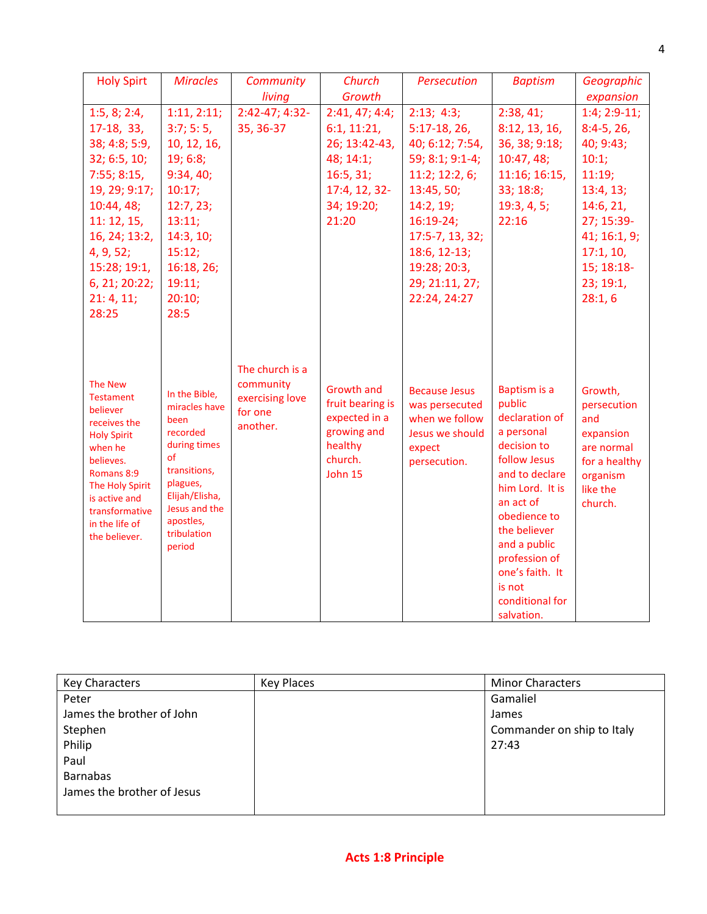| <b>Holy Spirt</b>                                                                                                                                                                                                   | <b>Miracles</b>                                                                                                                                                               | Community                                                              | Church                                                                                                 | Persecution                                                                                           | <b>Baptism</b>                                                                                                                                                                                                                                                         | Geographic                                                                                                   |
|---------------------------------------------------------------------------------------------------------------------------------------------------------------------------------------------------------------------|-------------------------------------------------------------------------------------------------------------------------------------------------------------------------------|------------------------------------------------------------------------|--------------------------------------------------------------------------------------------------------|-------------------------------------------------------------------------------------------------------|------------------------------------------------------------------------------------------------------------------------------------------------------------------------------------------------------------------------------------------------------------------------|--------------------------------------------------------------------------------------------------------------|
|                                                                                                                                                                                                                     |                                                                                                                                                                               | living                                                                 | Growth                                                                                                 |                                                                                                       |                                                                                                                                                                                                                                                                        | expansion                                                                                                    |
| 1:5, 8; 2:4,                                                                                                                                                                                                        | 1:11, 2:11;                                                                                                                                                                   | 2:42-47; 4:32-                                                         | 2:41, 47; 4:4;                                                                                         | 2:13; 4:3;                                                                                            | 2:38, 41;                                                                                                                                                                                                                                                              | $1:4; 2:9-11;$                                                                                               |
| 17-18, 33,                                                                                                                                                                                                          | 3:7; 5:5,                                                                                                                                                                     | 35, 36-37                                                              | 6:1, 11:21,                                                                                            | $5:17-18,26,$                                                                                         | 8:12, 13, 16,                                                                                                                                                                                                                                                          | $8:4-5, 26,$                                                                                                 |
| 38; 4:8; 5:9,                                                                                                                                                                                                       | 10, 12, 16,                                                                                                                                                                   |                                                                        | 26; 13:42-43,                                                                                          | 40; 6:12; 7:54,                                                                                       | 36, 38; 9:18;                                                                                                                                                                                                                                                          | 40; 9:43;                                                                                                    |
| 32; 6:5, 10;                                                                                                                                                                                                        | 19; 6:8;                                                                                                                                                                      |                                                                        | 48; 14:1;                                                                                              | 59; 8:1; 9:1-4;                                                                                       | 10:47, 48;                                                                                                                                                                                                                                                             | 10:1;                                                                                                        |
| 7:55; 8:15,                                                                                                                                                                                                         | 9:34,40;                                                                                                                                                                      |                                                                        | 16:5, 31;                                                                                              | 11:2; 12:2, 6;                                                                                        | 11:16; 16:15,                                                                                                                                                                                                                                                          | 11:19;                                                                                                       |
| 19, 29; 9:17;                                                                                                                                                                                                       | 10:17;                                                                                                                                                                        |                                                                        | 17:4, 12, 32-                                                                                          | 13:45, 50;                                                                                            | 33; 18:8;                                                                                                                                                                                                                                                              | 13:4, 13;                                                                                                    |
| 10:44, 48;                                                                                                                                                                                                          | 12:7,23;                                                                                                                                                                      |                                                                        | 34; 19:20;                                                                                             | 14:2, 19;                                                                                             | 19:3, 4, 5;                                                                                                                                                                                                                                                            | 14:6, 21,                                                                                                    |
| 11:12,15,                                                                                                                                                                                                           | 13:11;                                                                                                                                                                        |                                                                        | 21:20                                                                                                  | $16:19-24;$                                                                                           | 22:16                                                                                                                                                                                                                                                                  | 27; 15:39-                                                                                                   |
| 16, 24; 13:2,                                                                                                                                                                                                       | 14:3, 10;                                                                                                                                                                     |                                                                        |                                                                                                        | 17:5-7, 13, 32;                                                                                       |                                                                                                                                                                                                                                                                        | 41; 16:1, 9;                                                                                                 |
| 4, 9, 52;                                                                                                                                                                                                           | 15:12;                                                                                                                                                                        |                                                                        |                                                                                                        | 18:6, 12-13;                                                                                          |                                                                                                                                                                                                                                                                        | 17:1, 10,                                                                                                    |
| 15:28; 19:1,                                                                                                                                                                                                        | 16:18, 26;                                                                                                                                                                    |                                                                        |                                                                                                        | 19:28; 20:3,                                                                                          |                                                                                                                                                                                                                                                                        | 15; 18:18-                                                                                                   |
| 6, 21; 20:22;                                                                                                                                                                                                       | 19:11;                                                                                                                                                                        |                                                                        |                                                                                                        | 29; 21:11, 27;                                                                                        |                                                                                                                                                                                                                                                                        | 23; 19:1,                                                                                                    |
| 21:4, 11;                                                                                                                                                                                                           | 20:10;                                                                                                                                                                        |                                                                        |                                                                                                        | 22:24, 24:27                                                                                          |                                                                                                                                                                                                                                                                        | 28:1,6                                                                                                       |
| 28:25                                                                                                                                                                                                               | 28:5                                                                                                                                                                          |                                                                        |                                                                                                        |                                                                                                       |                                                                                                                                                                                                                                                                        |                                                                                                              |
| <b>The New</b><br><b>Testament</b><br>believer<br>receives the<br><b>Holy Spirit</b><br>when he<br>believes.<br>Romans 8:9<br>The Holy Spirit<br>is active and<br>transformative<br>in the life of<br>the believer. | In the Bible,<br>miracles have<br>been<br>recorded<br>during times<br>of<br>transitions,<br>plagues,<br>Elijah/Elisha,<br>Jesus and the<br>apostles,<br>tribulation<br>period | The church is a<br>community<br>exercising love<br>for one<br>another. | <b>Growth and</b><br>fruit bearing is<br>expected in a<br>growing and<br>healthy<br>church.<br>John 15 | <b>Because Jesus</b><br>was persecuted<br>when we follow<br>Jesus we should<br>expect<br>persecution. | Baptism is a<br>public<br>declaration of<br>a personal<br>decision to<br>follow Jesus<br>and to declare<br>him Lord. It is<br>an act of<br>obedience to<br>the believer<br>and a public<br>profession of<br>one's faith. It<br>is not<br>conditional for<br>salvation. | Growth,<br>persecution<br>and<br>expansion<br>are normal<br>for a healthy<br>organism<br>like the<br>church. |

| <b>Key Characters</b>      | <b>Key Places</b> | <b>Minor Characters</b>    |
|----------------------------|-------------------|----------------------------|
| Peter                      |                   | Gamaliel                   |
| James the brother of John  |                   | James                      |
| Stephen                    |                   | Commander on ship to Italy |
| Philip                     |                   | 27:43                      |
| Paul                       |                   |                            |
| <b>Barnabas</b>            |                   |                            |
| James the brother of Jesus |                   |                            |
|                            |                   |                            |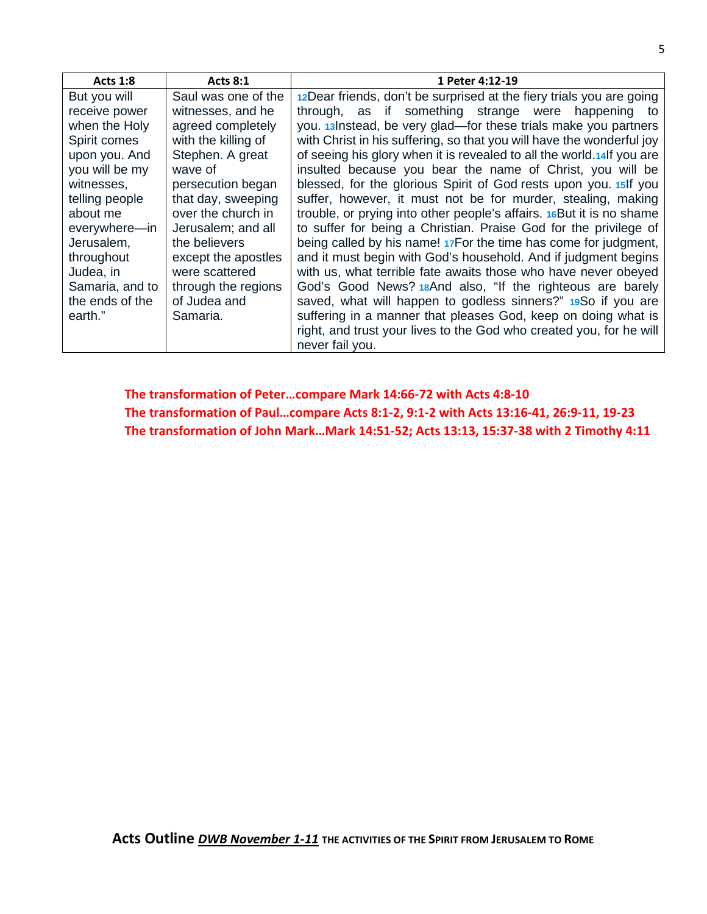| Acts $1:8$      | <b>Acts 8:1</b>     | 1 Peter 4:12-19                                                        |
|-----------------|---------------------|------------------------------------------------------------------------|
| But you will    | Saul was one of the | 12Dear friends, don't be surprised at the fiery trials you are going   |
| receive power   | witnesses, and he   | through, as if something strange were happening to                     |
| when the Holy   | agreed completely   | you. 13 Instead, be very glad-for these trials make you partners       |
| Spirit comes    | with the killing of | with Christ in his suffering, so that you will have the wonderful joy  |
| upon you. And   | Stephen. A great    | of seeing his glory when it is revealed to all the world.14 If you are |
| you will be my  | wave of             | insulted because you bear the name of Christ, you will be              |
| witnesses,      | persecution began   | blessed, for the glorious Spirit of God rests upon you. 15 If you      |
| telling people  | that day, sweeping  | suffer, however, it must not be for murder, stealing, making           |
| about me        | over the church in  | trouble, or prying into other people's affairs. 16But it is no shame   |
| everywhere-in   | Jerusalem; and all  | to suffer for being a Christian. Praise God for the privilege of       |
| Jerusalem,      | the believers       | being called by his name! 17For the time has come for judgment,        |
| throughout      | except the apostles | and it must begin with God's household. And if judgment begins         |
| Judea, in       | were scattered      | with us, what terrible fate awaits those who have never obeyed         |
| Samaria, and to | through the regions | God's Good News? 18And also, "If the righteous are barely              |
| the ends of the | of Judea and        | saved, what will happen to godless sinners?" 19So if you are           |
| earth."         | Samaria.            | suffering in a manner that pleases God, keep on doing what is          |
|                 |                     | right, and trust your lives to the God who created you, for he will    |
|                 |                     | never fail you.                                                        |

**The transformation of Peter…compare Mark 14:66-72 with Acts 4:8-10 The transformation of Paul…compare Acts 8:1-2, 9:1-2 with Acts 13:16-41, 26:9-11, 19-23 The transformation of John Mark…Mark 14:51-52; Acts 13:13, 15:37-38 with 2 Timothy 4:11**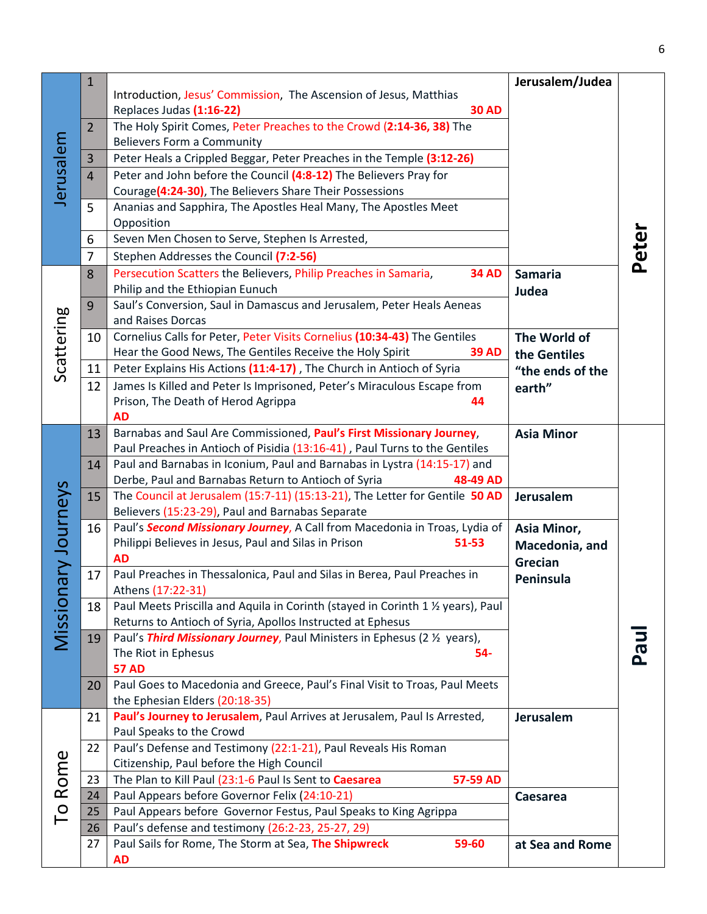|              | 1              |                                                                                                       | Jerusalem/Judea   |       |
|--------------|----------------|-------------------------------------------------------------------------------------------------------|-------------------|-------|
|              |                | Introduction, Jesus' Commission, The Ascension of Jesus, Matthias                                     |                   |       |
|              |                | Replaces Judas (1:16-22)<br><b>30 AD</b>                                                              |                   |       |
|              | $\overline{2}$ | The Holy Spirit Comes, Peter Preaches to the Crowd (2:14-36, 38) The                                  |                   |       |
|              |                | <b>Believers Form a Community</b>                                                                     |                   |       |
| Jerusalem    | $\mathbf{3}$   | Peter Heals a Crippled Beggar, Peter Preaches in the Temple (3:12-26)                                 |                   |       |
|              | $\overline{4}$ | Peter and John before the Council (4:8-12) The Believers Pray for                                     |                   |       |
|              |                | Courage(4:24-30), The Believers Share Their Possessions                                               |                   |       |
|              | 5              | Ananias and Sapphira, The Apostles Heal Many, The Apostles Meet                                       |                   |       |
|              |                | Opposition                                                                                            |                   |       |
|              | 6              | Seven Men Chosen to Serve, Stephen Is Arrested,                                                       |                   |       |
|              | $\overline{7}$ | Stephen Addresses the Council (7:2-56)                                                                |                   | Peter |
|              | 8              | Persecution Scatters the Believers, Philip Preaches in Samaria,<br><b>34 AD</b>                       | <b>Samaria</b>    |       |
|              |                | Philip and the Ethiopian Eunuch                                                                       | Judea             |       |
|              | 9              | Saul's Conversion, Saul in Damascus and Jerusalem, Peter Heals Aeneas                                 |                   |       |
|              |                | and Raises Dorcas                                                                                     |                   |       |
|              | 10             | Cornelius Calls for Peter, Peter Visits Cornelius (10:34-43) The Gentiles                             | The World of      |       |
|              |                | Hear the Good News, The Gentiles Receive the Holy Spirit<br><b>39 AD</b>                              | the Gentiles      |       |
| Scattering   | 11             | Peter Explains His Actions (11:4-17), The Church in Antioch of Syria                                  | "the ends of the  |       |
|              | 12             | James Is Killed and Peter Is Imprisoned, Peter's Miraculous Escape from                               | earth"            |       |
|              |                | Prison, The Death of Herod Agrippa<br>44                                                              |                   |       |
|              |                | <b>AD</b>                                                                                             |                   |       |
|              | 13             | Barnabas and Saul Are Commissioned, Paul's First Missionary Journey,                                  | <b>Asia Minor</b> |       |
|              |                | Paul Preaches in Antioch of Pisidia (13:16-41), Paul Turns to the Gentiles                            |                   |       |
|              | 14             | Paul and Barnabas in Iconium, Paul and Barnabas in Lystra (14:15-17) and                              |                   |       |
|              |                | Derbe, Paul and Barnabas Return to Antioch of Syria<br>48-49 AD                                       |                   |       |
|              | 15             | The Council at Jerusalem (15:7-11) (15:13-21), The Letter for Gentile 50 AD                           | <b>Jerusalem</b>  |       |
|              |                | Believers (15:23-29), Paul and Barnabas Separate                                                      |                   |       |
|              | 16             | Paul's <b>Second Missionary Journey</b> , A Call from Macedonia in Troas, Lydia of                    | Asia Minor,       |       |
|              |                | Philippi Believes in Jesus, Paul and Silas in Prison<br>51-53                                         | Macedonia, and    |       |
| ary Journeys |                | <b>AD</b>                                                                                             | Grecian           |       |
|              | 17             | Paul Preaches in Thessalonica, Paul and Silas in Berea, Paul Preaches in                              | Peninsula         |       |
|              |                | Athens (17:22-31)<br>Paul Meets Priscilla and Aquila in Corinth (stayed in Corinth 1 1/2 years), Paul |                   |       |
|              | 18             | Returns to Antioch of Syria, Apollos Instructed at Ephesus                                            |                   |       |
| Mission      | 19             | Paul's Third Missionary Journey, Paul Ministers in Ephesus (2 1/2 years),                             |                   |       |
|              |                | The Riot in Ephesus<br>54-                                                                            |                   | Pau   |
|              |                | <b>57 AD</b>                                                                                          |                   |       |
|              | 20             | Paul Goes to Macedonia and Greece, Paul's Final Visit to Troas, Paul Meets                            |                   |       |
|              |                | the Ephesian Elders (20:18-35)                                                                        |                   |       |
|              | 21             | Paul's Journey to Jerusalem, Paul Arrives at Jerusalem, Paul Is Arrested,                             | <b>Jerusalem</b>  |       |
|              |                | Paul Speaks to the Crowd                                                                              |                   |       |
|              | 22             | Paul's Defense and Testimony (22:1-21), Paul Reveals His Roman                                        |                   |       |
|              |                | Citizenship, Paul before the High Council                                                             |                   |       |
| Rome         | 23             | 57-59 AD<br>The Plan to Kill Paul (23:1-6 Paul Is Sent to Caesarea                                    |                   |       |
|              | 24             | Paul Appears before Governor Felix (24:10-21)                                                         | Caesarea          |       |
| PO           | 25             | Paul Appears before Governor Festus, Paul Speaks to King Agrippa                                      |                   |       |
|              | 26             | Paul's defense and testimony (26:2-23, 25-27, 29)                                                     |                   |       |
|              | 27             | Paul Sails for Rome, The Storm at Sea, The Shipwreck<br>59-60                                         | at Sea and Rome   |       |
|              |                | <b>AD</b>                                                                                             |                   |       |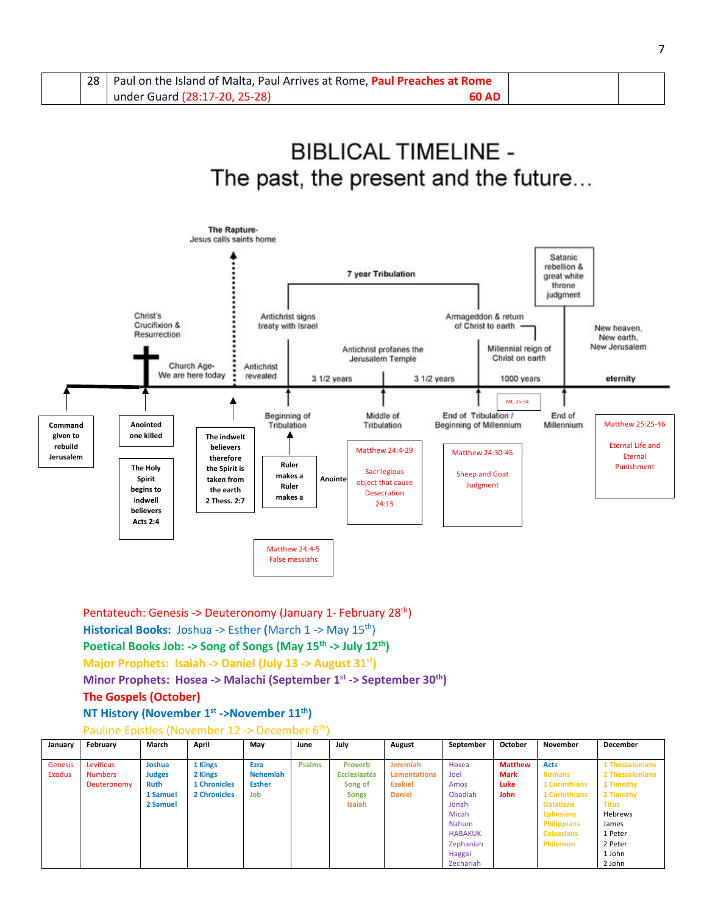| 28 <sub>1</sub> | Paul on the Island of Malta, Paul Arrives at Rome, Paul Preaches at Rome |       |  |
|-----------------|--------------------------------------------------------------------------|-------|--|
|                 | under Guard (28:17-20, 25-28)                                            | 60 AD |  |

# **BIBLICAL TIMELINE -**The past, the present and the future...



Pentateuch: Genesis -> Deuteronomy (January 1- February 28th) **Historical Books:** Joshua -> Esther **(**March 1 -> May 15th) Poetical Books Job: -> Song of Songs (May 15<sup>th</sup> -> July 12<sup>th</sup>) **Major Prophets: Isaiah -> Daniel (July 13 -> August 31st) Minor Prophets: Hosea -> Malachi (September 1st -> September 30th)** 

### **The Gospels (October)**

**NT History (November 1st ->November 11th)** 

Pauline Epistles (November 12 -> December 6<sup>th</sup>)

| January | February       | March         | April               | Mav             | June          | July                | August              | September      | October        | November             | December        |
|---------|----------------|---------------|---------------------|-----------------|---------------|---------------------|---------------------|----------------|----------------|----------------------|-----------------|
|         |                |               |                     |                 |               |                     |                     |                |                |                      |                 |
| Genesis | Leviticus      | Joshua        | 1 Kings             | Ezra            | <b>Psalms</b> | <b>Proverb</b>      | <b>Jeremiah</b>     | Hosea          | <b>Matthew</b> | <b>Acts</b>          | 1 Thessalonians |
| Exodus  | <b>Numbers</b> | <b>Judges</b> | 2 Kings             | <b>Nehemiah</b> |               | <b>Ecclesiastes</b> | <b>Lamentations</b> | Joel           | <b>Mark</b>    | <b>Romans</b>        | 2 Thessalonians |
|         | Deuteronomy    | <b>Ruth</b>   | <b>1 Chronicles</b> | <b>Esther</b>   |               | Song of             | <b>Ezekiel</b>      | Amos           | Luke           | <b>1 Corinthians</b> | 1 Timothy       |
|         |                | 1 Samuel      | 2 Chronicles        | Job             |               | <b>Songs</b>        | <b>Daniel</b>       | Obadiah        | <b>John</b>    | <b>1 Corinthians</b> | 2 Timothy       |
|         |                | 2 Samuel      |                     |                 |               | <b>Isaiah</b>       |                     | Jonah          |                | <b>Galatians</b>     | <b>Titus</b>    |
|         |                |               |                     |                 |               |                     |                     | Micah          |                | <b>Ephesians</b>     | Hebrews         |
|         |                |               |                     |                 |               |                     |                     | Nahum          |                | <b>Philippians</b>   | James           |
|         |                |               |                     |                 |               |                     |                     | <b>HABAKUK</b> |                | <b>Colossians</b>    | 1 Peter         |
|         |                |               |                     |                 |               |                     |                     | Zephaniah      |                | Philemon             | 2 Peter         |
|         |                |               |                     |                 |               |                     |                     | Haggai         |                |                      | 1 John          |
|         |                |               |                     |                 |               |                     |                     | Zechariah      |                |                      | 2 John          |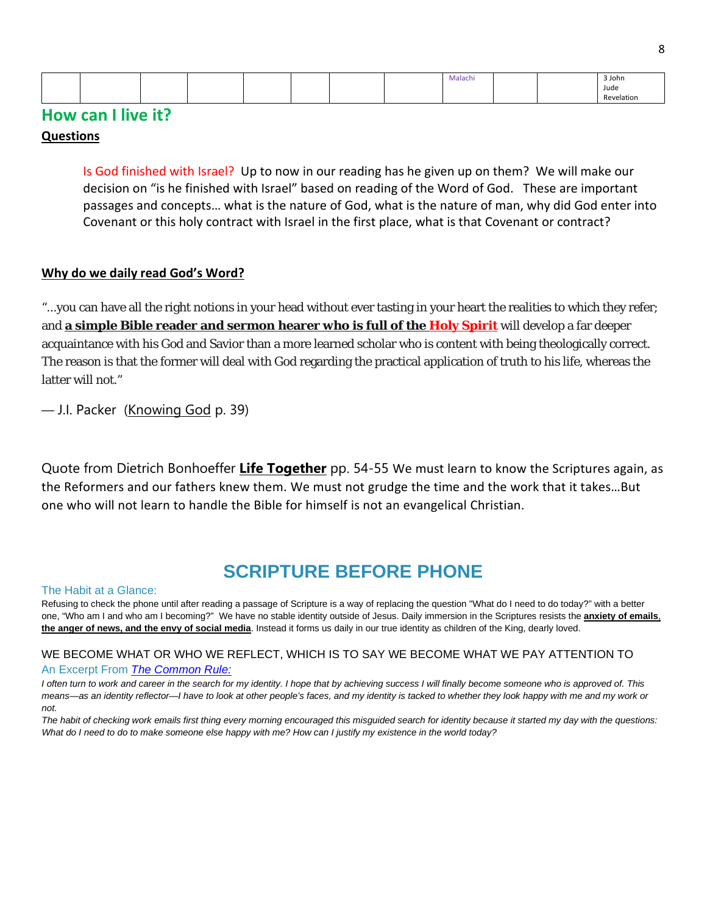|  |  |  |  | ivialachi |  | 3 John |
|--|--|--|--|-----------|--|--------|
|  |  |  |  |           |  | Jude   |
|  |  |  |  |           |  | .      |

# **How can I live it?**

### **Questions**

Is God finished with Israel? Up to now in our reading has he given up on them? We will make our decision on "is he finished with Israel" based on reading of the Word of God. These are important passages and concepts… what is the nature of God, what is the nature of man, why did God enter into Covenant or this holy contract with Israel in the first place, what is that Covenant or contract?

## **Why do we daily read God's Word?**

"...you can have all the right notions in your head without ever tasting in your heart the realities to which they refer; and **a simple Bible reader and sermon hearer who is full of the Holy Spirit** will develop a far deeper acquaintance with his God and Savior than a more learned scholar who is content with being theologically correct. The reason is that the former will deal with God regarding the practical application of truth to his life, whereas the latter will not."

— [J.I. Packer](https://quotefancy.com/j-i-packer-quotes) (Knowing God p. 39)

Quote from Dietrich Bonhoeffer **Life Together** pp. 54-55 We must learn to know the Scriptures again, as the Reformers and our fathers knew them. We must not grudge the time and the work that it takes…But one who will not learn to handle the Bible for himself is not an evangelical Christian.

# **SCRIPTURE BEFORE PHONE**

#### The Habit at a Glance:

Refusing to check the phone until after reading a passage of Scripture is a way of replacing the question "What do I need to do today?" with a better one, "Who am I and who am I becoming?" We have no stable identity outside of Jesus. Daily immersion in the Scriptures resists the **anxiety of emails**, **the anger of news, and the envy of social media**. Instead it forms us daily in our true identity as children of the King, dearly loved.

#### WE BECOME WHAT OR WHO WE REFLECT, WHICH IS TO SAY WE BECOME WHAT WE PAY ATTENTION TO An Excerpt From *The [Common](https://www.amazon.com/Common-Rule-Habits-Purpose-Distraction/dp/0830845607/ref=sr_1_1?keywords=the+common+rule&qid=1550272781&s=gateway&sr=8-1) Rule:*

I often turn to work and career in the search for my identity. I hope that by achieving success I will finally become someone who is approved of. This means-as an identity reflector-I have to look at other people's faces, and my identity is tacked to whether they look happy with me and my work or *not.*

The habit of checking work emails first thing every morning encouraged this misguided search for identity because it started my day with the questions: What do I need to do to make someone else happy with me? How can I justify my existence in the world today?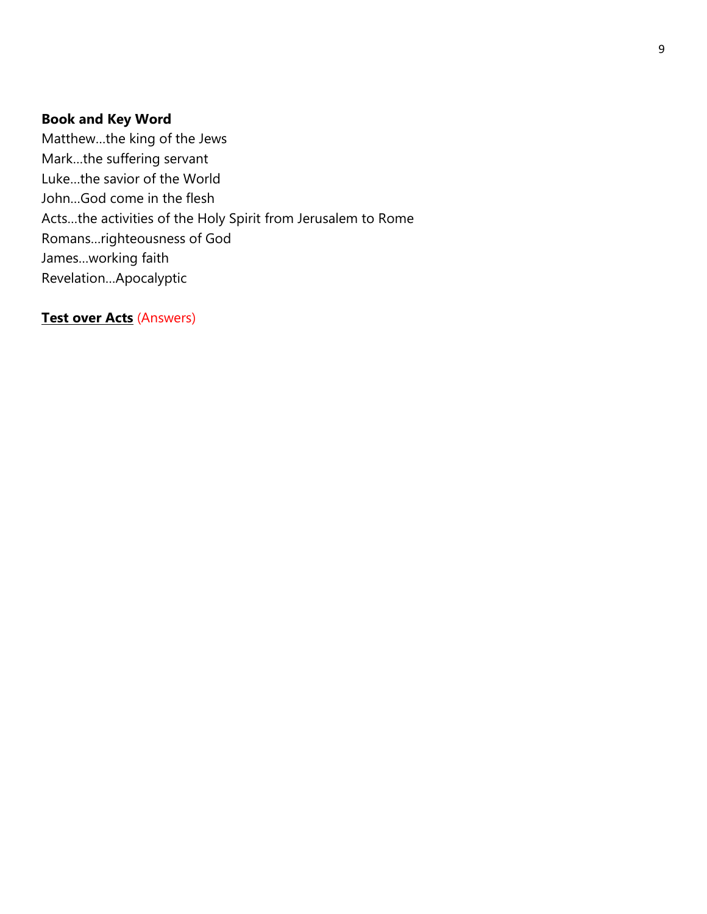## **Book and Key Word**

Matthew…the king of the Jews Mark…the suffering servant Luke…the savior of the World John…God come in the flesh Acts…the activities of the Holy Spirit from Jerusalem to Rome Romans…righteousness of God James…working faith Revelation…Apocalyptic

**Test over Acts** (Answers)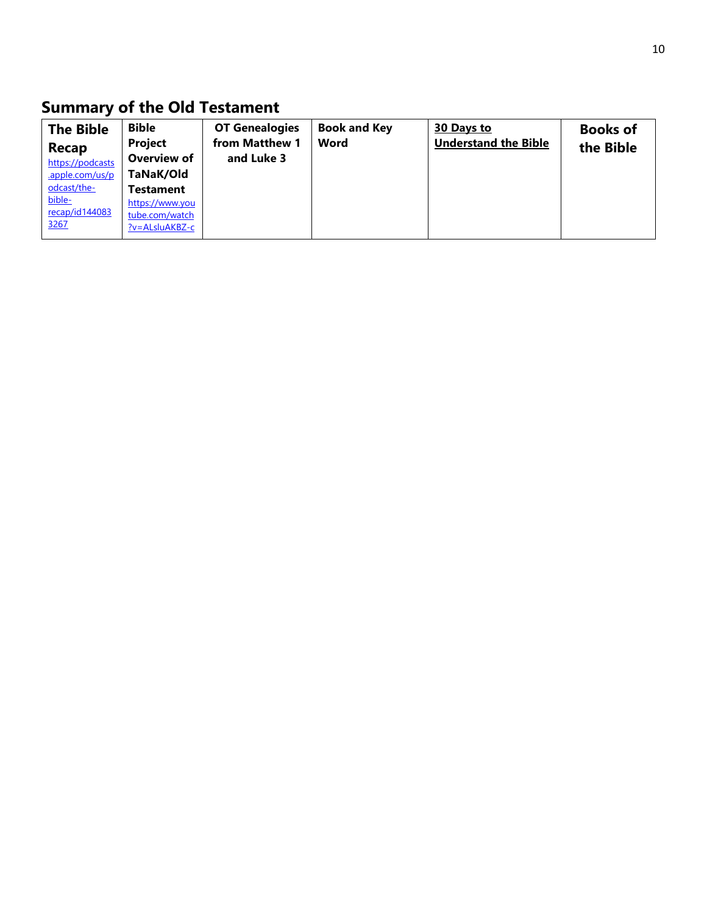# **Summary of the Old Testament**

| <b>The Bible</b> | <b>Bible</b>        | <b>OT Genealogies</b> | <b>Book and Key</b> | 30 Days to                  | <b>Books of</b> |
|------------------|---------------------|-----------------------|---------------------|-----------------------------|-----------------|
| <b>Recap</b>     | <b>Project</b>      | from Matthew 1        | Word                | <b>Understand the Bible</b> | the Bible       |
| https://podcasts | Overview of         | and Luke 3            |                     |                             |                 |
| .apple.com/us/p  | TaNaK/Old           |                       |                     |                             |                 |
| odcast/the-      | <b>Testament</b>    |                       |                     |                             |                 |
| bible-           | https://www.you     |                       |                     |                             |                 |
| recap/id144083   | tube.com/watch      |                       |                     |                             |                 |
| 3267             | $?v = A LsluAKBZ-c$ |                       |                     |                             |                 |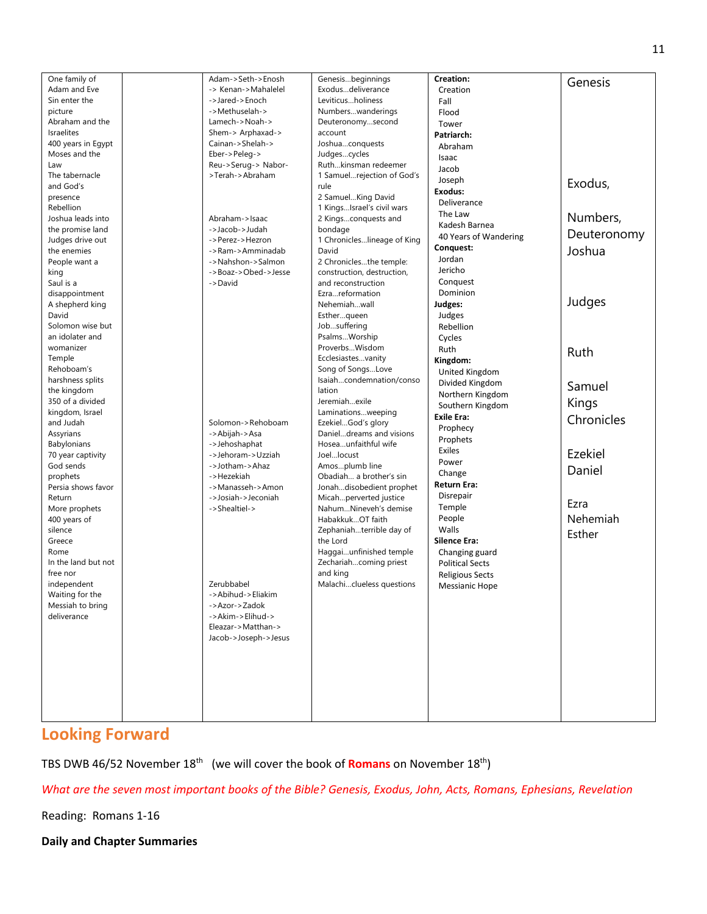| One family of            | Adam->Seth->Enosh                      | Genesisbeginnings           | Creation:              | Genesis     |
|--------------------------|----------------------------------------|-----------------------------|------------------------|-------------|
| Adam and Eve             | -> Kenan->Mahalelel                    | Exodusdeliverance           | Creation               |             |
| Sin enter the            | ->Jared->Enoch                         | Leviticusholiness           | Fall                   |             |
| picture                  | ->Methuselah->                         | Numberswanderings           | Flood                  |             |
| Abraham and the          | Lamech->Noah->                         | Deuteronomysecond           | Tower                  |             |
| <b>Israelites</b>        | Shem-> Arphaxad->                      | account                     | Patriarch:             |             |
| 400 years in Egypt       | Cainan->Shelah->                       | Joshuaconquests             | Abraham                |             |
| Moses and the            | Eber->Peleg->                          | Judgescycles                | Isaac                  |             |
| Law                      | Reu->Serug-> Nabor-                    | Ruthkinsman redeemer        | Jacob                  |             |
| The tabernacle           | >Terah->Abraham                        | 1 Samuelrejection of God's  | Joseph                 |             |
| and God's                |                                        | rule                        | Exodus:                | Exodus,     |
| presence                 |                                        | 2 SamuelKing David          | Deliverance            |             |
| Rebellion                |                                        | 1 KingsIsrael's civil wars  | The Law                |             |
| Joshua leads into        | Abraham->Isaac                         | 2 Kingsconquests and        | Kadesh Barnea          | Numbers,    |
| the promise land         | ->Jacob->Judah                         | bondage                     | 40 Years of Wandering  | Deuteronomy |
| Judges drive out         | ->Perez->Hezron                        | 1 Chronicleslineage of King | Conquest:              |             |
| the enemies              | ->Ram->Amminadab                       | David                       | Jordan                 | Joshua      |
| People want a            | ->Nahshon->Salmon                      | 2 Chroniclesthe temple:     | Jericho                |             |
| king                     | ->Boaz->Obed->Jesse                    | construction, destruction,  | Conquest               |             |
| Saul is a                | ->David                                | and reconstruction          | Dominion               |             |
| disappointment           |                                        | Ezrareformation             |                        | Judges      |
| A shepherd king<br>David |                                        | Nehemiahwall<br>Estherqueen | Judges:                |             |
| Solomon wise but         |                                        | Jobsuffering                | Judges                 |             |
| an idolater and          |                                        | PsalmsWorship               | Rebellion              |             |
| womanizer                |                                        | ProverbsWisdom              | Cycles                 |             |
| Temple                   |                                        | Ecclesiastesvanity          | Ruth                   | Ruth        |
| Rehoboam's               |                                        | Song of SongsLove           | Kingdom:               |             |
| harshness splits         |                                        | Isaiahcondemnation/conso    | United Kingdom         |             |
| the kingdom              |                                        | lation                      | Divided Kingdom        | Samuel      |
| 350 of a divided         |                                        | Jeremiahexile               | Northern Kingdom       | Kings       |
| kingdom, Israel          |                                        | Laminationsweeping          | Southern Kingdom       |             |
| and Judah                | Solomon->Rehoboam                      | EzekielGod's glory          | <b>Exile Era:</b>      | Chronicles  |
| Assyrians                | ->Abijah->Asa                          | Danieldreams and visions    | Prophecy               |             |
| Babylonians              | ->Jehoshaphat                          | Hoseaunfaithful wife        | Prophets               |             |
| 70 year captivity        | ->Jehoram->Uzziah                      | Joellocust                  | Exiles                 | Ezekiel     |
| God sends                | ->Jotham->Ahaz                         | Amosplumb line              | Power                  | Daniel      |
| prophets                 | ->Hezekiah                             | Obadiah a brother's sin     | Change                 |             |
| Persia shows favor       | ->Manasseh->Amon                       | Jonahdisobedient prophet    | Return Era:            |             |
| Return                   | ->Josiah->Jeconiah                     | Micahperverted justice      | Disrepair              | Ezra        |
| More prophets            | ->Shealtiel->                          | NahumNineveh's demise       | Temple                 |             |
| 400 years of             |                                        | HabakkukOT faith            | People                 | Nehemiah    |
| silence                  |                                        | Zephaniahterrible day of    | Walls                  | Esther      |
| Greece                   |                                        | the Lord                    | Silence Era:           |             |
| Rome                     |                                        | Haggaiunfinished temple     | Changing guard         |             |
| In the land but not      |                                        | Zechariahcoming priest      | <b>Political Sects</b> |             |
| free nor                 |                                        | and king                    | <b>Religious Sects</b> |             |
| independent              | Zerubbabel                             | Malachiclueless questions   | <b>Messianic Hope</b>  |             |
| Waiting for the          | ->Abihud->Eliakim                      |                             |                        |             |
| Messiah to bring         | ->Azor->Zadok                          |                             |                        |             |
| deliverance              | ->Akim->Elihud-><br>Eleazar->Matthan-> |                             |                        |             |
|                          | Jacob->Joseph->Jesus                   |                             |                        |             |
|                          |                                        |                             |                        |             |
|                          |                                        |                             |                        |             |
|                          |                                        |                             |                        |             |
|                          |                                        |                             |                        |             |
|                          |                                        |                             |                        |             |
|                          |                                        |                             |                        |             |
|                          |                                        |                             |                        |             |

# **Looking Forward**

TBS DWB 46/52 November 18th (we will cover the book of **Romans** on November 18th)

*What are the seven most important books of the Bible? Genesis, Exodus, John, Acts, Romans, Ephesians, Revelation*

Reading: Romans 1-16

**Daily and Chapter Summaries**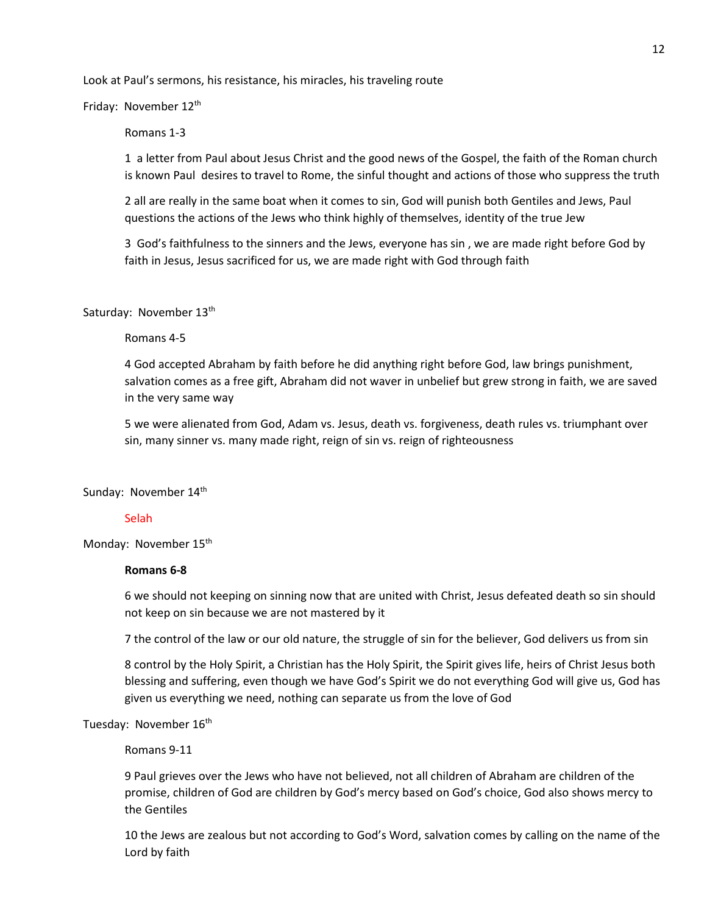Look at Paul's sermons, his resistance, his miracles, his traveling route

Friday: November 12<sup>th</sup>

Romans 1-3

1 a letter from Paul about Jesus Christ and the good news of the Gospel, the faith of the Roman church is known Paul desires to travel to Rome, the sinful thought and actions of those who suppress the truth

2 all are really in the same boat when it comes to sin, God will punish both Gentiles and Jews, Paul questions the actions of the Jews who think highly of themselves, identity of the true Jew

3 God's faithfulness to the sinners and the Jews, everyone has sin , we are made right before God by faith in Jesus, Jesus sacrificed for us, we are made right with God through faith

Saturday: November 13<sup>th</sup>

Romans 4-5

4 God accepted Abraham by faith before he did anything right before God, law brings punishment, salvation comes as a free gift, Abraham did not waver in unbelief but grew strong in faith, we are saved in the very same way

5 we were alienated from God, Adam vs. Jesus, death vs. forgiveness, death rules vs. triumphant over sin, many sinner vs. many made right, reign of sin vs. reign of righteousness

Sunday: November 14<sup>th</sup>

#### Selah

Monday: November 15<sup>th</sup>

#### **Romans 6-8**

6 we should not keeping on sinning now that are united with Christ, Jesus defeated death so sin should not keep on sin because we are not mastered by it

7 the control of the law or our old nature, the struggle of sin for the believer, God delivers us from sin

8 control by the Holy Spirit, a Christian has the Holy Spirit, the Spirit gives life, heirs of Christ Jesus both blessing and suffering, even though we have God's Spirit we do not everything God will give us, God has given us everything we need, nothing can separate us from the love of God

Tuesday: November 16<sup>th</sup>

Romans 9-11

9 Paul grieves over the Jews who have not believed, not all children of Abraham are children of the promise, children of God are children by God's mercy based on God's choice, God also shows mercy to the Gentiles

10 the Jews are zealous but not according to God's Word, salvation comes by calling on the name of the Lord by faith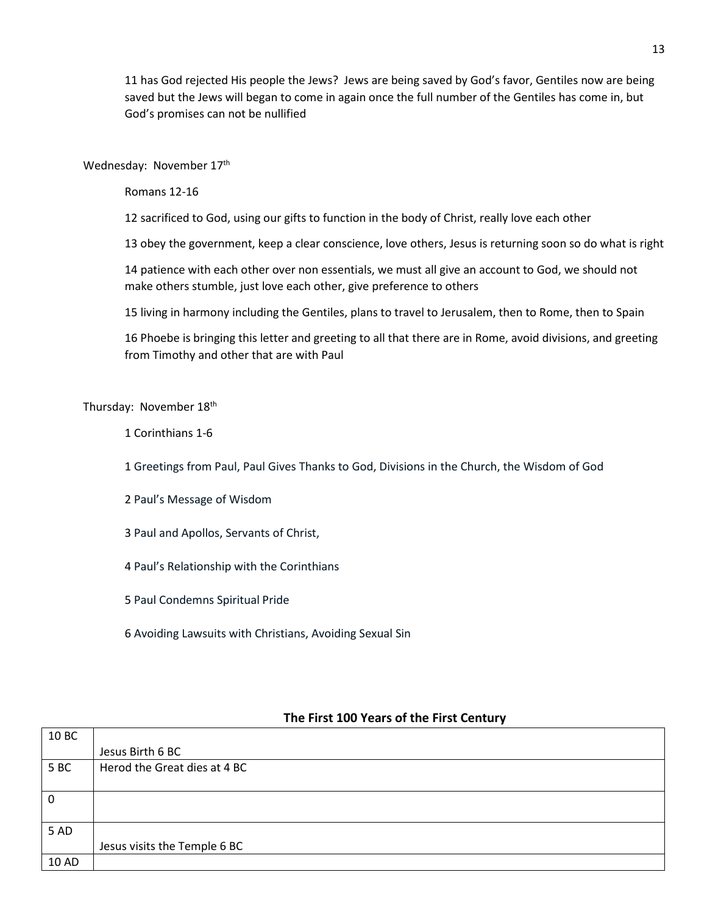11 has God rejected His people the Jews? Jews are being saved by God's favor, Gentiles now are being saved but the Jews will began to come in again once the full number of the Gentiles has come in, but God's promises can not be nullified

Wednesday: November 17<sup>th</sup>

Romans 12-16

12 sacrificed to God, using our gifts to function in the body of Christ, really love each other

13 obey the government, keep a clear conscience, love others, Jesus is returning soon so do what is right

14 patience with each other over non essentials, we must all give an account to God, we should not make others stumble, just love each other, give preference to others

15 living in harmony including the Gentiles, plans to travel to Jerusalem, then to Rome, then to Spain

16 Phoebe is bringing this letter and greeting to all that there are in Rome, avoid divisions, and greeting from Timothy and other that are with Paul

Thursday: November 18<sup>th</sup>

1 Corinthians 1-6

1 Greetings from Paul, Paul Gives Thanks to God, Divisions in the Church, the Wisdom of God

2 Paul's Message of Wisdom

3 Paul and Apollos, Servants of Christ,

4 Paul's Relationship with the Corinthians

5 Paul Condemns Spiritual Pride

6 Avoiding Lawsuits with Christians, Avoiding Sexual Sin

| 10 BC       |                              |
|-------------|------------------------------|
|             | Jesus Birth 6 BC             |
| 5BC         | Herod the Great dies at 4 BC |
|             |                              |
| $\mathbf 0$ |                              |
|             |                              |
| 5 AD        |                              |
|             | Jesus visits the Temple 6 BC |
| 10 AD       |                              |

## **The First 100 Years of the First Century**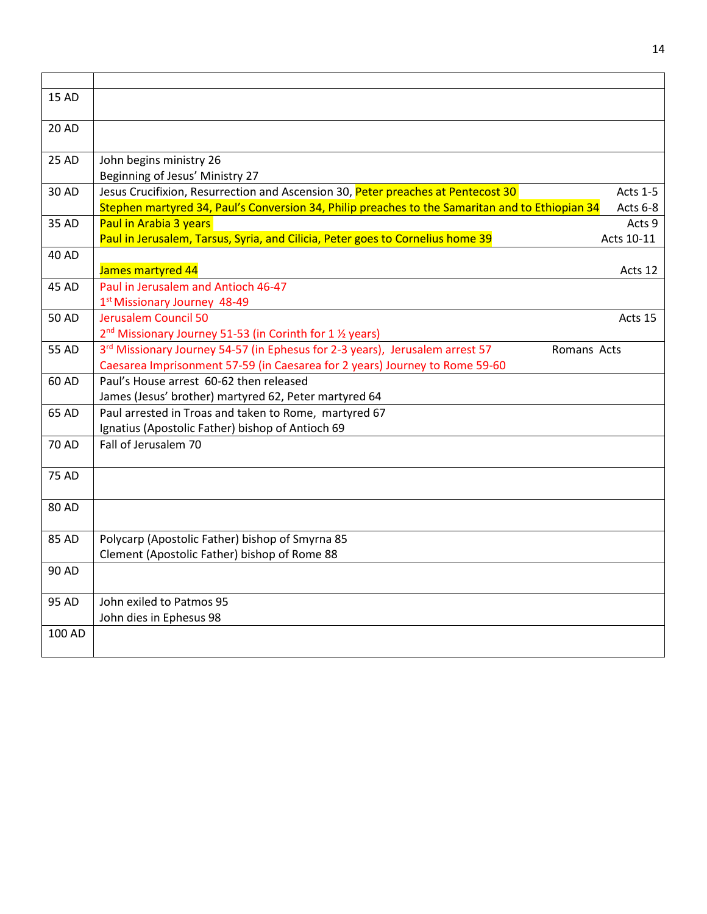| 15 AD        |                                                                                                 |                 |
|--------------|-------------------------------------------------------------------------------------------------|-----------------|
| 20 AD        |                                                                                                 |                 |
| 25 AD        | John begins ministry 26<br>Beginning of Jesus' Ministry 27                                      |                 |
| 30 AD        | Jesus Crucifixion, Resurrection and Ascension 30, Peter preaches at Pentecost 30                | <b>Acts 1-5</b> |
|              | Stephen martyred 34, Paul's Conversion 34, Philip preaches to the Samaritan and to Ethiopian 34 | Acts 6-8        |
| 35 AD        | Paul in Arabia 3 years                                                                          | Acts 9          |
|              | Paul in Jerusalem, Tarsus, Syria, and Cilicia, Peter goes to Cornelius home 39                  | Acts 10-11      |
| 40 AD        |                                                                                                 |                 |
|              | James martyred 44                                                                               | Acts 12         |
| 45 AD        | Paul in Jerusalem and Antioch 46-47                                                             |                 |
|              | 1st Missionary Journey 48-49                                                                    |                 |
| <b>50 AD</b> | <b>Jerusalem Council 50</b>                                                                     | Acts 15         |
|              | 2 <sup>nd</sup> Missionary Journey 51-53 (in Corinth for 1 <sup>1</sup> / <sub>2</sub> years)   |                 |
| 55 AD        | 3rd Missionary Journey 54-57 (in Ephesus for 2-3 years), Jerusalem arrest 57<br>Romans Acts     |                 |
|              | Caesarea Imprisonment 57-59 (in Caesarea for 2 years) Journey to Rome 59-60                     |                 |
| 60 AD        | Paul's House arrest 60-62 then released                                                         |                 |
|              | James (Jesus' brother) martyred 62, Peter martyred 64                                           |                 |
| 65 AD        | Paul arrested in Troas and taken to Rome, martyred 67                                           |                 |
|              | Ignatius (Apostolic Father) bishop of Antioch 69                                                |                 |
| 70 AD        | Fall of Jerusalem 70                                                                            |                 |
| <b>75 AD</b> |                                                                                                 |                 |
| 80 AD        |                                                                                                 |                 |
| 85 AD        | Polycarp (Apostolic Father) bishop of Smyrna 85                                                 |                 |
|              | Clement (Apostolic Father) bishop of Rome 88                                                    |                 |
| 90 AD        |                                                                                                 |                 |
| 95 AD        | John exiled to Patmos 95                                                                        |                 |
|              | John dies in Ephesus 98                                                                         |                 |
| 100 AD       |                                                                                                 |                 |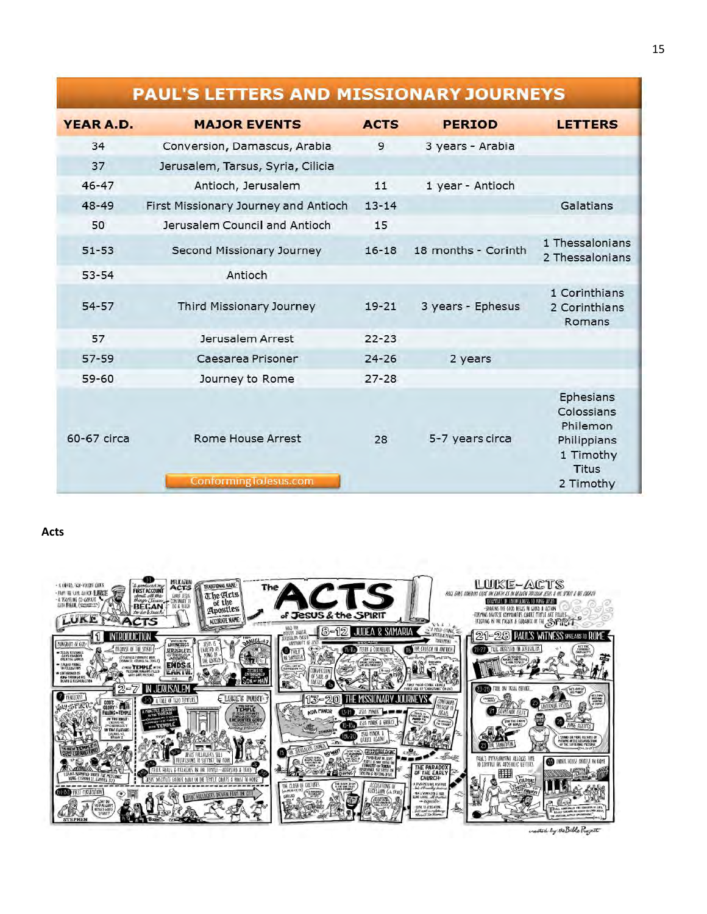# **PAUL'S LETTERS AND MISSIONARY JOURNEYS**

| YEAR A.D.   | <b>MAJOR EVENTS</b>                        | <b>ACTS</b> | <b>PERIOD</b>       | <b>LETTERS</b>                                                                        |
|-------------|--------------------------------------------|-------------|---------------------|---------------------------------------------------------------------------------------|
| 34          | Conversion, Damascus, Arabia               | 9           | 3 years - Arabia    |                                                                                       |
| 37          | Jerusalem, Tarsus, Syria, Cilicia          |             |                     |                                                                                       |
| $46 - 47$   | Antioch, Jerusalem                         | 11          | 1 year - Antioch    |                                                                                       |
| $48 - 49$   | First Missionary Journey and Antioch       | $13 - 14$   |                     | Galatians                                                                             |
| 50          | Jerusalem Council and Antioch              | 15          |                     |                                                                                       |
| $51 - 53$   | Second Missionary Journey                  | $16 - 18$   | 18 months - Corinth | 1 Thessalonians<br>2 Thessalonians                                                    |
| $53 - 54$   | Antioch                                    |             |                     |                                                                                       |
| $54 - 57$   | Third Missionary Journey                   | $19 - 21$   | 3 years - Ephesus   | 1 Corinthians<br>2 Corinthians<br>Romans                                              |
| 57          | Jerusalem Arrest                           | $22 - 23$   |                     |                                                                                       |
| $57 - 59$   | Caesarea Prisoner                          | $24 - 26$   | 2 years             |                                                                                       |
| $59 - 60$   | Journey to Rome                            | $27 - 28$   |                     |                                                                                       |
| 60-67 circa | Rome House Arrest<br>ConformingToJesus.com | 28          | 5-7 years circa     | Ephesians<br>Colossians<br>Philemon<br>Philippians<br>1 Timothy<br>Titus<br>2 Timothy |

#### **Acts**



neated by the Bible Project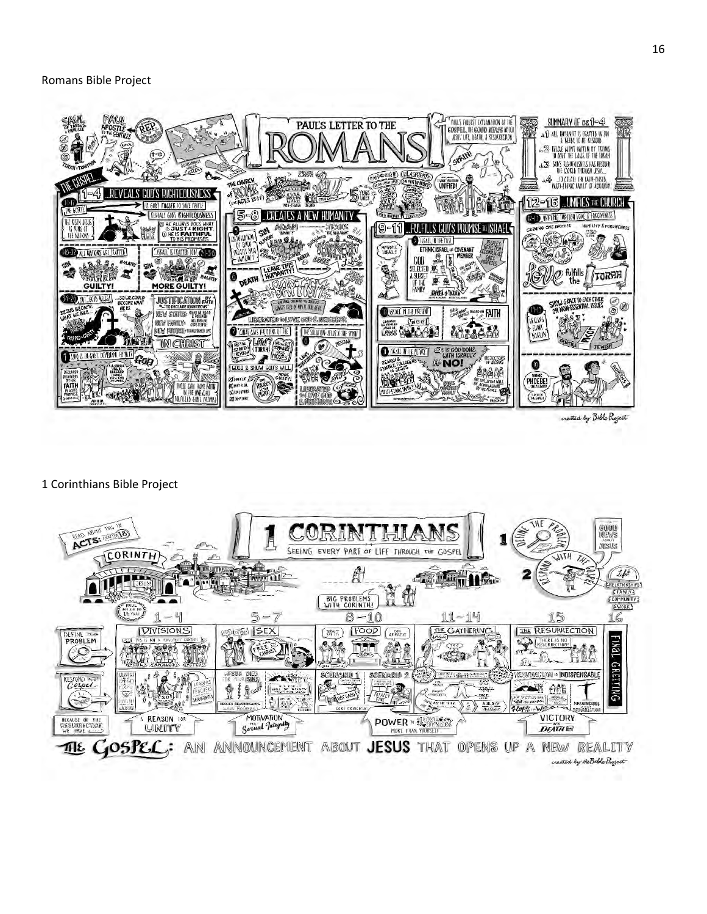

created by Bible Project

#### 1 Corinthians Bible Project